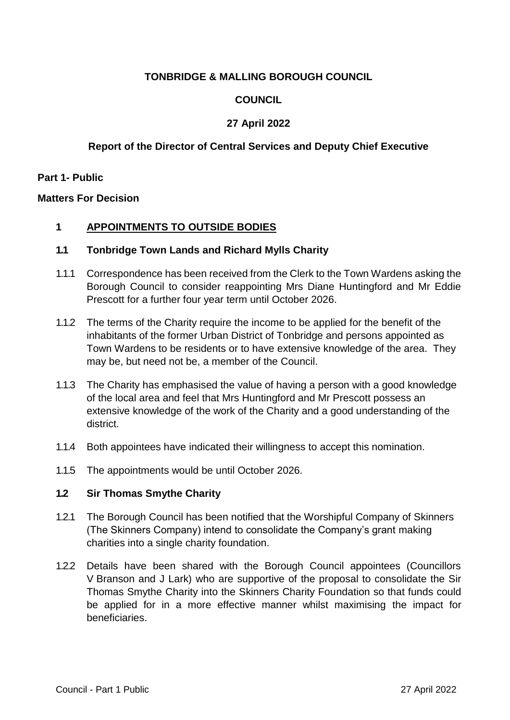# **TONBRIDGE & MALLING BOROUGH COUNCIL**

# **COUNCIL**

# **27 April 2022**

## **Report of the Director of Central Services and Deputy Chief Executive**

### **Part 1- Public**

### **Matters For Decision**

## **1 APPOINTMENTS TO OUTSIDE BODIES**

### **1.1 Tonbridge Town Lands and Richard Mylls Charity**

- 1.1.1 Correspondence has been received from the Clerk to the Town Wardens asking the Borough Council to consider reappointing Mrs Diane Huntingford and Mr Eddie Prescott for a further four year term until October 2026.
- 1.1.2 The terms of the Charity require the income to be applied for the benefit of the inhabitants of the former Urban District of Tonbridge and persons appointed as Town Wardens to be residents or to have extensive knowledge of the area. They may be, but need not be, a member of the Council.
- 1.1.3 The Charity has emphasised the value of having a person with a good knowledge of the local area and feel that Mrs Huntingford and Mr Prescott possess an extensive knowledge of the work of the Charity and a good understanding of the district.
- 1.1.4 Both appointees have indicated their willingness to accept this nomination.
- 1.1.5 The appointments would be until October 2026.

#### **1.2 Sir Thomas Smythe Charity**

- 1.2.1 The Borough Council has been notified that the Worshipful Company of Skinners (The Skinners Company) intend to consolidate the Company's grant making charities into a single charity foundation.
- 1.2.2 Details have been shared with the Borough Council appointees (Councillors V Branson and J Lark) who are supportive of the proposal to consolidate the Sir Thomas Smythe Charity into the Skinners Charity Foundation so that funds could be applied for in a more effective manner whilst maximising the impact for beneficiaries.